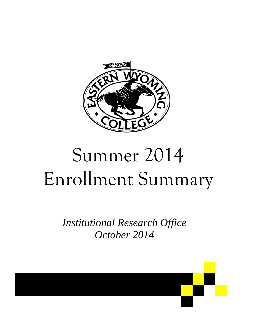

# Summer 2014 Enrollment Summary

*Institutional Research Office October 2014* 

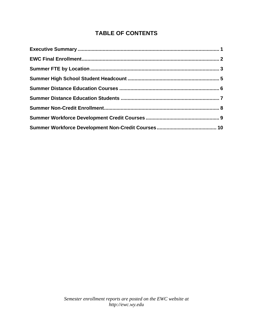### **TABLE OF CONTENTS**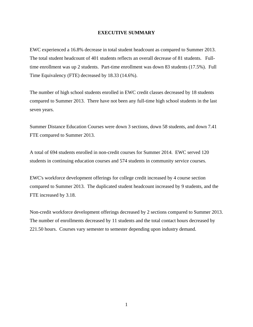#### **EXECUTIVE SUMMARY**

EWC experienced a 16.8% decrease in total student headcount as compared to Summer 2013. The total student headcount of 401 students reflects an overall decrease of 81 students. Fulltime enrollment was up 2 students. Part-time enrollment was down 83 students (17.5%). Full Time Equivalency (FTE) decreased by 18.33 (14.6%).

The number of high school students enrolled in EWC credit classes decreased by 18 students compared to Summer 2013. There have not been any full-time high school students in the last seven years.

Summer Distance Education Courses were down 3 sections, down 58 students, and down 7.41 FTE compared to Summer 2013.

A total of 694 students enrolled in non-credit courses for Summer 2014. EWC served 120 students in continuing education courses and 574 students in community service courses.

EWC's workforce development offerings for college credit increased by 4 course section compared to Summer 2013. The duplicated student headcount increased by 9 students, and the FTE increased by 3.18.

Non-credit workforce development offerings decreased by 2 sections compared to Summer 2013. The number of enrollments decreased by 11 students and the total contact hours decreased by 221.50 hours. Courses vary semester to semester depending upon industry demand.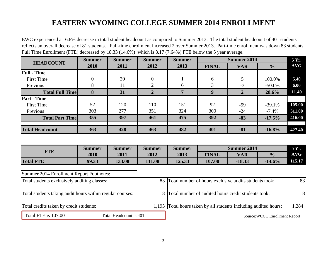# **EASTERN WYOMING COLLEGE SUMMER 2014 ENROLLMENT**

EWC experienced a 16.8% decrease in total student headcount as compared to Summer 2013. The total student headcount of 401 students reflects an overall decrease of 81 students. Full-time enrollment increased 2 over Summer 2013. Part-time enrollment was down 83 students. Full Time Enrollment (FTE) decreased by 18.33 (14.6%) which is 8.17 (7.64%) FTE below the 5 year average.

| <b>HEADCOUNT</b>        | <b>Summer</b> | <b>Summer</b> | <b>Summer</b>    | <b>Summer</b> |              | <b>Summer 2014</b> |               | 5 Yr.      |
|-------------------------|---------------|---------------|------------------|---------------|--------------|--------------------|---------------|------------|
|                         | 2010          | 2011          | 2012             | 2013          | <b>FINAL</b> | <b>VAR</b>         | $\frac{1}{2}$ | <b>AVG</b> |
| <b>Full</b> - Time      |               |               |                  |               |              |                    |               |            |
| <b>First Time</b>       | $\theta$      | 20            | $\boldsymbol{0}$ |               | 6            |                    | 100.0%        | 5.40       |
| Previous                | 8             | 11            | $\overline{2}$   | 6             | 3            | $-3$               | $-50.0\%$     | 6.00       |
| <b>Total Full Time</b>  | 8             | 31            | $\mathbf{2}$     | $\mathbf{r}$  | 9            | $\overline{2}$     | 28.6%         | 11.40      |
| <b>Part - Time</b>      |               |               |                  |               |              |                    |               |            |
| <b>First Time</b>       | 52            | 120           | 110              | 151           | 92           | $-59$              | $-39.1%$      | 105.00     |
| Previous                | 303           | 277           | 351              | 324           | 300          | $-24$              | $-7.4%$       | 311.00     |
| <b>Total Part Timel</b> | 355           | 397           | 461              | 475           | 392          | $-83$              | $-17.5%$      | 416.00     |
| <b>Total Headcount</b>  | 363           | 428           | 463              | 482           | 401          | $-81$              | $-16.8%$      | 427.40     |
|                         |               |               |                  |               |              |                    |               |            |

|                  | <b>Summer</b> | <b>Summer</b> | <b>Summer</b> | <b>Summer</b> |              | <b>Summer 2014</b> |               | 5 Yr.      |
|------------------|---------------|---------------|---------------|---------------|--------------|--------------------|---------------|------------|
| <b>TTE</b>       | 2010          | 2011          | 2012          | 2013          | <b>FINAL</b> | <b>VAR</b>         | $\frac{0}{0}$ | <b>AVG</b> |
| <b>Total FTE</b> | 99.33         | 133.08        | 111.08        | 125.33        | 107.00       | $-18.33$           | $-14.6%$      | 115.17     |

### Summer 2014 Enrollment Report Footnotes:

| Total students exclusively auditing classes:              |  |  | 83 Total number of hours exclusive audits students took:         | 83    |
|-----------------------------------------------------------|--|--|------------------------------------------------------------------|-------|
| Total students taking audit hours within regular courses: |  |  | 8 Total number of audited hours credit students took:            | 8     |
| Total credits taken by credit students:                   |  |  | 1,193 Total hours taken by all students including audited hours: | 1,284 |
| Total FTE is 107.00<br>Total Headcount is 401             |  |  | Source: WCCC Enrollment Report                                   |       |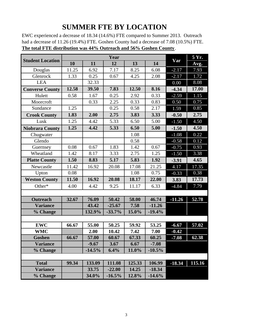# **SUMMER FTE BY LOCATION**

EWC experienced a decrease of 18.34 (14.6%) FTE compared to Summer 2013. Outreach had a decrease of 11.26 (19.4%) FTE. Goshen County had a decrease of 7.08 (10.5%) FTE. **The total FTE distribution was 44% Outreach and 56% Goshen County**.

|                         |       |          |           |        | 5 Yr.    |          |        |
|-------------------------|-------|----------|-----------|--------|----------|----------|--------|
| <b>Student Location</b> | 10    | 11       | 12        | 13     | 14       | Var      | Avg.   |
| Douglas                 | 11.25 | 6.92     | 7.17      | 8.25   | 6.08     | $-2.17$  | 7.93   |
| Glenrock                | 1.33  | 0.25     | 0.67      | 4.25   | 2.08     | $-2.17$  | 1.72   |
| <b>LEA</b>              |       | 32.33    |           |        |          | 0.00     | 8.08   |
| <b>Converse County</b>  | 12.58 | 39.50    | 7.83      | 12.50  | 8.16     | $-4.34$  | 17.00  |
| Hulett                  | 0.58  | 1.67     | 0.25      | 2.92   | 0.33     | $-2.59$  | 1.15   |
| Moorcroft               |       | 0.33     | 2.25      | 0.33   | 0.83     | 0.50     | 0.75   |
| Sundance                | 1.25  |          | 0.25      | 0.58   | 2.17     | 1.59     | 0.85   |
| <b>Crook County</b>     | 1.83  | 2.00     | 2.75      | 3.83   | 3.33     | $-0.50$  | 2.75   |
| Lusk                    | 1.25  | 4.42     | 5.33      | 6.50   | 5.00     | $-1.50$  | 4.50   |
| <b>Niobrara County</b>  | 1.25  | 4.42     | 5.33      | 6.50   | 5.00     | $-1.50$  | 4.50   |
| Chugwater               |       |          |           | 1.08   |          | $-1.08$  | 0.22   |
| Glendo                  |       |          |           | 0.58   |          | $-0.58$  | 0.12   |
| Guernsey                | 0.08  | 0.67     | 1.83      | 1.42   | 0.67     | $-0.75$  | 0.93   |
| Wheatland               | 1.42  | 8.17     | 3.33      | 2.75   | 1.25     | $-1.50$  | 3.38   |
| <b>Platte County</b>    | 1.50  | 8.83     | 5.17      | 5.83   | 1.92     | $-3.91$  | 4.65   |
| Newcastle               | 11.42 | 16.92    | 20.08     | 17.08  | 21.25    | 4.17     | 17.35  |
| Upton                   | 0.08  |          |           | 1.08   | 0.75     | $-0.33$  | 0.38   |
| <b>Weston County</b>    | 11.50 | 16.92    | 20.08     | 18.17  | 22.00    | 3.83     | 17.73  |
| Other*                  | 4.00  | 4.42     | 9.25      | 11.17  | 6.33     | $-4.84$  | 7.79   |
|                         |       |          |           |        |          |          |        |
| <b>Outreach</b>         | 32.67 | 76.09    | 50.42     | 58.00  | 46.74    | $-11.26$ | 52.78  |
| <b>Variance</b>         |       | 43.42    | $-25.67$  | 7.58   | $-11.26$ |          |        |
| % Change                |       | 132.9%   | $-33.7%$  | 15.0%  | $-19.4%$ |          |        |
|                         |       |          |           |        |          |          |        |
| <b>EWC</b>              | 66.67 | 55.00    | 50.25     | 59.92  | 53.25    | $-6.67$  | 57.02  |
| <b>WMC</b>              |       | 2.00     | 10.42     | 7.42   | 7.00     | $-0.42$  |        |
| Goshen                  | 66.67 | 57.00    | 60.67     | 67.33  | 60.25    | $-7.08$  | 62.38  |
| <b>Variance</b>         |       | $-9.67$  | 3.67      | 6.67   | $-7.08$  |          |        |
| % Change                |       | $-14.5%$ | 6.4%      | 11.0%  | $-10.5%$ |          |        |
|                         |       |          |           |        |          |          |        |
| <b>Total</b>            | 99.34 | 133.09   | 111.08    | 125.33 | 106.99   | $-18.34$ | 115.16 |
| <b>Variance</b>         |       | 33.75    | $-22.00$  | 14.25  | $-18.34$ |          |        |
| % Change                |       | 34.0%    | $-16.5\%$ | 12.8%  | $-14.6%$ |          |        |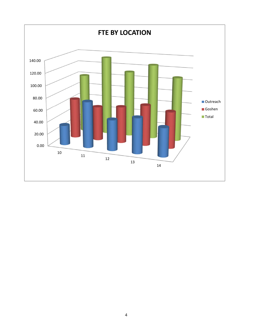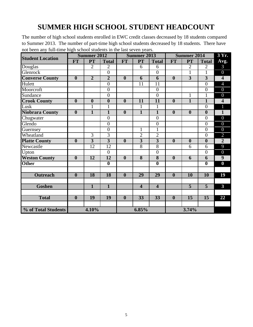# **SUMMER HIGH SCHOOL STUDENT HEADCOUNT**

The number of high school students enrolled in EWC credit classes decreased by 18 students compared to Summer 2013. The number of part-time high school students decreased by 18 students. There have not been any full-time high school students in the last seven years.

| <b>Student Location</b> |                         | <b>Summer 2012</b>      |                         |                         | <b>Summer 2013</b>      |                         |                         | <b>Summer 2014</b>      |                         | 3 Yr.                   |
|-------------------------|-------------------------|-------------------------|-------------------------|-------------------------|-------------------------|-------------------------|-------------------------|-------------------------|-------------------------|-------------------------|
|                         | <b>FT</b>               | PT                      | <b>Total</b>            | <b>FT</b>               | <b>PT</b>               | <b>Total</b>            | <b>FT</b>               | <b>PT</b>               | <b>Total</b>            | Avg.                    |
| Douglas                 |                         | $\overline{2}$          | $\overline{2}$          |                         | 6                       | 6                       |                         | $\overline{2}$          | $\overline{2}$          | $\mathfrak{Z}$          |
| Glenrock                |                         |                         | $\overline{0}$          |                         |                         | $\overline{0}$          |                         | $\mathbf{1}$            | 1                       | $\overline{0}$          |
| <b>Converse County</b>  | $\overline{\mathbf{0}}$ | $\overline{2}$          | $\overline{2}$          | $\overline{\mathbf{0}}$ | $\overline{6}$          | $\overline{6}$          | $\overline{\mathbf{0}}$ | $\overline{3}$          | $\overline{\mathbf{3}}$ | $\overline{4}$          |
| Hulett                  |                         |                         | $\overline{0}$          |                         | 11                      | 11                      |                         |                         | $\overline{0}$          | $\overline{4}$          |
| Moorcroft               |                         |                         | $\overline{0}$          |                         |                         | $\overline{0}$          |                         |                         | $\overline{0}$          | $\overline{0}$          |
| Sundance                |                         |                         | $\overline{0}$          |                         |                         | $\overline{0}$          |                         | $\mathbf{1}$            | $\mathbf{1}$            | $\overline{0}$          |
| <b>Crook County</b>     | $\overline{\mathbf{0}}$ | $\overline{\mathbf{0}}$ | $\overline{\mathbf{0}}$ | $\overline{\mathbf{0}}$ | $\overline{11}$         | $\overline{11}$         | $\overline{\mathbf{0}}$ | $\overline{\mathbf{1}}$ | $\overline{1}$          | $\overline{\mathbf{4}}$ |
| Lusk                    |                         | 1                       | $\mathbf{1}$            |                         | 1                       | $\mathbf{1}$            |                         |                         | $\overline{0}$          | 1                       |
| <b>Niobrara County</b>  | $\overline{\mathbf{0}}$ | $\overline{1}$          | $\overline{1}$          | $\boldsymbol{0}$        | $\overline{1}$          | $\overline{1}$          | $\overline{\mathbf{0}}$ | $\overline{\mathbf{0}}$ | $\overline{\mathbf{0}}$ | $\overline{1}$          |
| Chugwater               |                         |                         | $\overline{0}$          |                         |                         | $\overline{0}$          |                         |                         | $\overline{0}$          | $\overline{0}$          |
| Glendo                  |                         |                         | $\overline{0}$          |                         |                         | $\boldsymbol{0}$        |                         |                         | $\boldsymbol{0}$        | $\overline{0}$          |
| Guernsey                |                         |                         | $\overline{0}$          |                         | $\mathbf{1}$            | $\overline{1}$          |                         |                         | $\overline{0}$          | $\overline{0}$          |
| Wheatland               |                         | 3                       | $\overline{3}$          |                         | $\overline{2}$          | $\overline{2}$          |                         |                         | $\boldsymbol{0}$        | $\overline{2}$          |
| <b>Platte County</b>    | $\boldsymbol{0}$        | $\overline{3}$          | $\overline{3}$          | $\boldsymbol{0}$        | $\overline{3}$          | $\overline{3}$          | $\boldsymbol{0}$        | $\boldsymbol{0}$        | $\boldsymbol{0}$        | $\overline{2}$          |
| Newcastle               |                         | $\overline{12}$         | $\overline{12}$         |                         | $\overline{8}$          | $\overline{8}$          |                         | 6                       | 6                       | 9                       |
| Upton                   |                         |                         | $\overline{0}$          |                         |                         | $\overline{0}$          |                         |                         | $\boldsymbol{0}$        | $\overline{0}$          |
| <b>Weston County</b>    | $\overline{\mathbf{0}}$ | $\overline{12}$         | $\overline{12}$         | $\overline{\mathbf{0}}$ | $\overline{\mathbf{8}}$ | $\overline{\bf 8}$      | $\overline{\mathbf{0}}$ | 6                       | 6                       | $\overline{9}$          |
| <b>Other</b>            |                         |                         | $\overline{\mathbf{0}}$ |                         |                         | $\overline{\mathbf{0}}$ |                         |                         | $\overline{\mathbf{0}}$ | $\bf{0}$                |
|                         |                         |                         |                         |                         |                         |                         |                         |                         |                         |                         |
| <b>Outreach</b>         | $\overline{\mathbf{0}}$ | 18                      | 18                      | $\boldsymbol{0}$        | $\overline{29}$         | 29                      | $\boldsymbol{0}$        | <b>10</b>               | <b>10</b>               | 19                      |
| <b>Goshen</b>           |                         | $\overline{1}$          | $\overline{1}$          |                         | $\overline{4}$          | $\overline{\mathbf{4}}$ |                         | $\overline{5}$          | $\overline{5}$          | $\overline{3}$          |
| <b>Total</b>            | $\overline{\mathbf{0}}$ | 19                      | $\overline{19}$         | $\boldsymbol{0}$        | $\overline{33}$         | $\overline{33}$         | $\boldsymbol{0}$        | $\overline{15}$         | $\overline{15}$         | 22                      |
|                         |                         |                         |                         |                         |                         |                         |                         |                         |                         |                         |
| % of Total Students     |                         | 4.10%                   |                         |                         | 6.85%                   |                         |                         | 3.74%                   |                         |                         |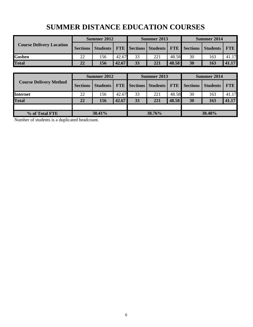|                                 | Summer 2012     |     |       |           | Summer 2013                                       |       | Summer 2014 |                 |            |  |
|---------------------------------|-----------------|-----|-------|-----------|---------------------------------------------------|-------|-------------|-----------------|------------|--|
| <b>Course Delivery Location</b> | <b>Sections</b> |     |       |           | Students   FTE Sections   Students   FTE Sections |       |             | <b>Students</b> | <b>FTE</b> |  |
| Goshen                          | 22              | 156 | 42.67 | 33        | 221                                               | 48.58 | 30          | 163             | 41.17      |  |
| <b>Total</b>                    | 22              | 156 | 42.67 | <b>33</b> | 221                                               | 48.58 | 30          | 163             | 41.17      |  |
|                                 |                 |     |       |           |                                                   |       |             |                 |            |  |

# **SUMMER DISTANCE EDUCATION COURSES**

|                               |                 | Summer 2012 |       |    | Summer 2013                                           |       | Summer 2014 |          |            |  |
|-------------------------------|-----------------|-------------|-------|----|-------------------------------------------------------|-------|-------------|----------|------------|--|
| <b>Course Delivery Method</b> | <b>Sections</b> |             |       |    | Students   FTE   Sections   Students   FTE   Sections |       |             | Students | <b>FTE</b> |  |
| <b>Internet</b>               | 22              | 156         | 42.67 | 33 | 221                                                   | 48.58 | 30          | 163      | 41.17      |  |
| <b>Total</b>                  | 22              | 156         | 42.67 | 33 | 221                                                   | 48.58 | 30          | 163      | 41.17      |  |
|                               |                 |             |       |    |                                                       |       |             |          |            |  |
| % of Total FTE                | 38.41%          |             |       |    | 38.76%                                                |       | 38.48%      |          |            |  |

Number of students is a duplicated headcount.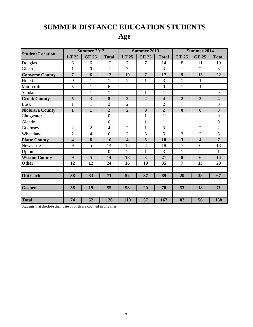# **SUMMER DISTANCE EDUCATION STUDENTS**

# **Age**

|                         |                         | <b>Summer 2012</b>      |                  | <b>Summer 2013</b>      |                |                         |                  | <b>Summer 2014</b>      |                         |  |  |
|-------------------------|-------------------------|-------------------------|------------------|-------------------------|----------------|-------------------------|------------------|-------------------------|-------------------------|--|--|
| <b>Student Location</b> | LT 25                   | <b>GE 25</b>            | <b>Total</b>     | LT 25                   | <b>GE 25</b>   | <b>Total</b>            | LT 25            | <b>GE 25</b>            | <b>Total</b>            |  |  |
| Douglas                 | 6                       | 6                       | 12               | 7                       | 7              | 14                      | 8                | 11                      | 19                      |  |  |
| Glenrock                | $\mathbf{1}$            | $\overline{0}$          | $\mathbf{1}$     | 3                       |                | 3                       | $\mathbf{1}$     | $\overline{2}$          | 3                       |  |  |
| <b>Converse County</b>  | $\overline{7}$          | 6                       | 13               | 10                      | $\overline{7}$ | 17                      | 9                | 13                      | 22                      |  |  |
| Hulett                  | $\overline{0}$          | $\mathbf{1}$            | $\mathbf{1}$     | $\overline{2}$          | $\mathbf{1}$   | $\overline{3}$          | $\mathbf{1}$     | $\mathbf{1}$            | $\overline{2}$          |  |  |
| Moorcroft               | 5                       | $\mathbf{1}$            | 6                |                         |                | $\mathbf{0}$            | $\mathbf{1}$     | $\mathbf{1}$            | $\overline{2}$          |  |  |
| Sundance                |                         | 1                       | $\mathbf{1}$     |                         | $\mathbf{1}$   | $\mathbf{1}$            |                  |                         | $\boldsymbol{0}$        |  |  |
| <b>Crook County</b>     | 5                       | $\overline{\mathbf{3}}$ | 8                | $\overline{2}$          | $\overline{2}$ | $\overline{\mathbf{4}}$ | $\overline{2}$   | $\overline{2}$          | $\overline{\mathbf{4}}$ |  |  |
| Lusk                    | $\mathbf{1}$            | $\mathbf{1}$            | $\overline{2}$   | $\overline{2}$          |                | $\overline{2}$          |                  |                         | $\overline{0}$          |  |  |
| <b>Niobrara County</b>  | $\mathbf{1}$            | $\mathbf{1}$            | $\overline{2}$   | $\boldsymbol{2}$        | $\bf{0}$       | $\overline{2}$          | $\boldsymbol{0}$ | $\boldsymbol{0}$        | $\bf{0}$                |  |  |
| Chugwater               |                         |                         | $\boldsymbol{0}$ |                         | $\mathbf{1}$   | $\mathbf{1}$            |                  |                         | $\boldsymbol{0}$        |  |  |
| Glendo                  |                         |                         | $\boldsymbol{0}$ |                         | $\mathbf{1}$   | $\mathbf{1}$            |                  |                         | $\boldsymbol{0}$        |  |  |
| Guernsey                | $\overline{2}$          | $\overline{2}$          | $\overline{4}$   | $\overline{2}$          | $\mathbf{1}$   | 3                       |                  | $\overline{2}$          | $\overline{2}$          |  |  |
| Wheatland               | $\overline{2}$          | 4                       | 6                | $\overline{2}$          | 3              | 5                       | 3                | $\overline{2}$          | 5                       |  |  |
| <b>Platte County</b>    | $\overline{\mathbf{4}}$ | 6                       | 10               | $\overline{\mathbf{4}}$ | 6              | 10                      | 3                | $\overline{\mathbf{4}}$ | $\overline{7}$          |  |  |
| Newcastle               | 9                       | 5                       | 14               | 16                      | $\overline{2}$ | 18                      | $\overline{7}$   | 6                       | 13                      |  |  |
| Upton                   |                         |                         | $\overline{0}$   | $\overline{2}$          | 1              | 3                       | $\mathbf{1}$     |                         | 1                       |  |  |
| <b>Weston County</b>    | 9                       | 5                       | 14               | 18                      | 3              | 21                      | 8                | 6                       | 14                      |  |  |
| <b>Other</b>            | 12                      | 12                      | 24               | 16                      | 19             | 35                      | $\overline{7}$   | 13                      | 20                      |  |  |
|                         |                         |                         |                  |                         |                |                         |                  |                         |                         |  |  |
| <b>Outreach</b>         | 38                      | 33                      | 71               | 52                      | 37             | 89                      | 29               | 38                      | 67                      |  |  |
|                         |                         |                         |                  |                         |                |                         |                  |                         |                         |  |  |
| <b>Goshen</b>           | 36                      | 19                      | 55               | 58                      | 20             | 78                      | 53               | 18                      | 71                      |  |  |
|                         |                         |                         |                  |                         |                |                         |                  |                         |                         |  |  |
| <b>Total</b>            | 74                      | 52                      | 126              | 110                     | 57             | 167                     | $\overline{82}$  | 56                      | 138                     |  |  |

Students that disclose their date of birth are counted in this chart.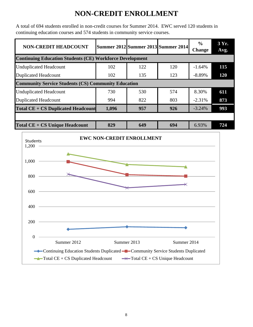# **NON-CREDIT ENROLLMENT**

A total of 694 students enrolled in non-credit courses for Summer 2014. EWC served 120 students in continuing education courses and 574 students in community service courses.

| <b>NON-CREDIT HEADCOUNT</b>                                     |       |     | Summer 2012 Summer 2013 Summer 2014 | $\frac{0}{0}$<br><b>Change</b> | 3 Yr.<br>Avg. |
|-----------------------------------------------------------------|-------|-----|-------------------------------------|--------------------------------|---------------|
| <b>Continuing Education Students (CE) Workforce Development</b> |       |     |                                     |                                |               |
| <b>Unduplicated Headcount</b>                                   | 102   | 122 | 120                                 | $-1.64%$                       | 115           |
| <b>Duplicated Headcount</b>                                     | 102   | 135 | 123                                 | $-8.89%$                       | 120           |
| <b>Community Service Students (CS) Community Education</b>      |       |     |                                     |                                |               |
| <b>Unduplicated Headcount</b>                                   | 730   | 530 | 574                                 | 8.30%                          | 611           |
| <b>Duplicated Headcount</b>                                     | 994   | 822 | 803                                 | $-2.31%$                       | 873           |
| <b>Total CE + CS Duplicated Headcount</b>                       | 1,096 | 957 | 926                                 | $-3.24%$                       | 993           |
|                                                                 |       |     |                                     |                                |               |
| $Total CE + CS Unique Headcount$                                | 829   | 649 | 694                                 | 6.93%                          | 724           |

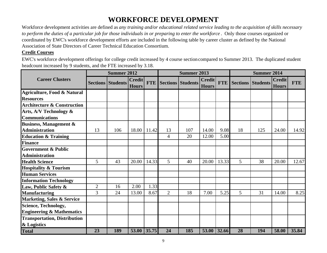# **WORKFORCE DEVELOPMENT**

Workforce development activities are defined as *any training and/or educational related service leading to the acquisition of skills necessary to perform the duties of a particular job for those individuals in or preparing to enter the workforce* . Only those courses organized or coordinated by EWC's workforce development efforts are included in the following table by career cluster as defined by the National Association of State Directors of Career Technical Education Consortium.

### **Credit Courses**

EWC's workforce development offerings for college credit increased by 4 course section compared to Summer 2013. The duplicated student headcount increased by 9 students, and the FTE increased by 3.18.

|                                        | <b>Summer 2012</b> |                          |                               |             |                | <b>Summer 2013</b>           |                               |            |    | <b>Summer 2014</b>       |                               |            |
|----------------------------------------|--------------------|--------------------------|-------------------------------|-------------|----------------|------------------------------|-------------------------------|------------|----|--------------------------|-------------------------------|------------|
| <b>Career Clusters</b>                 |                    | <b>Sections Students</b> | <b>Credit</b><br><b>Hours</b> |             |                | <b>FTE</b> Sections Students | <b>Credit</b><br><b>Hours</b> | <b>FTE</b> |    | <b>Sections Students</b> | <b>Credit</b><br><b>Hours</b> | <b>FTE</b> |
| Agriculture, Food & Natural            |                    |                          |                               |             |                |                              |                               |            |    |                          |                               |            |
| <b>Resources</b>                       |                    |                          |                               |             |                |                              |                               |            |    |                          |                               |            |
| <b>Architecture &amp; Construction</b> |                    |                          |                               |             |                |                              |                               |            |    |                          |                               |            |
| Arts, A/V Technology &                 |                    |                          |                               |             |                |                              |                               |            |    |                          |                               |            |
| <b>Communications</b>                  |                    |                          |                               |             |                |                              |                               |            |    |                          |                               |            |
| <b>Business, Management &amp;</b>      |                    |                          |                               |             |                |                              |                               |            |    |                          |                               |            |
| <b>Administration</b>                  | 13                 | 106                      | 18.00                         | 11.42       | 13             | 107                          | 14.00                         | 9.08       | 18 | 125                      | 24.00                         | 14.92      |
| <b>Education &amp; Training</b>        |                    |                          |                               |             | 4              | 20                           | 12.00                         | 5.00       |    |                          |                               |            |
| <b>Finance</b>                         |                    |                          |                               |             |                |                              |                               |            |    |                          |                               |            |
| <b>Government &amp; Public</b>         |                    |                          |                               |             |                |                              |                               |            |    |                          |                               |            |
| <b>Administration</b>                  |                    |                          |                               |             |                |                              |                               |            |    |                          |                               |            |
| <b>Health Science</b>                  | 5                  | 43                       | 20.00                         | 14.33       | $\mathfrak{S}$ | 40                           | 20.00                         | 13.33      | 5  | 38                       | 20.00                         | 12.67      |
| <b>Hospitality &amp; Tourism</b>       |                    |                          |                               |             |                |                              |                               |            |    |                          |                               |            |
| <b>Human Services</b>                  |                    |                          |                               |             |                |                              |                               |            |    |                          |                               |            |
| <b>Information Technology</b>          |                    |                          |                               |             |                |                              |                               |            |    |                          |                               |            |
| Law, Public Safety &                   | $\overline{2}$     | 16                       | 2.00                          | 1.33        |                |                              |                               |            |    |                          |                               |            |
| <b>Manufacturing</b>                   | 3                  | 24                       | 13.00                         | 8.67        | $\overline{2}$ | 18                           | 7.00                          | 5.25       | 5  | 31                       | 14.00                         | 8.25       |
| <b>Marketing, Sales &amp; Service</b>  |                    |                          |                               |             |                |                              |                               |            |    |                          |                               |            |
| <b>Science, Technology,</b>            |                    |                          |                               |             |                |                              |                               |            |    |                          |                               |            |
| <b>Engineering &amp; Mathematics</b>   |                    |                          |                               |             |                |                              |                               |            |    |                          |                               |            |
| <b>Transportation, Distribution</b>    |                    |                          |                               |             |                |                              |                               |            |    |                          |                               |            |
| & Logistics                            |                    |                          |                               |             |                |                              |                               |            |    |                          |                               |            |
| <b>Total</b>                           | 23                 | 189                      |                               | 53.00 35.75 | 24             | 185                          | 53.00 32.66                   |            | 28 | 194                      | 58.00                         | 35.84      |